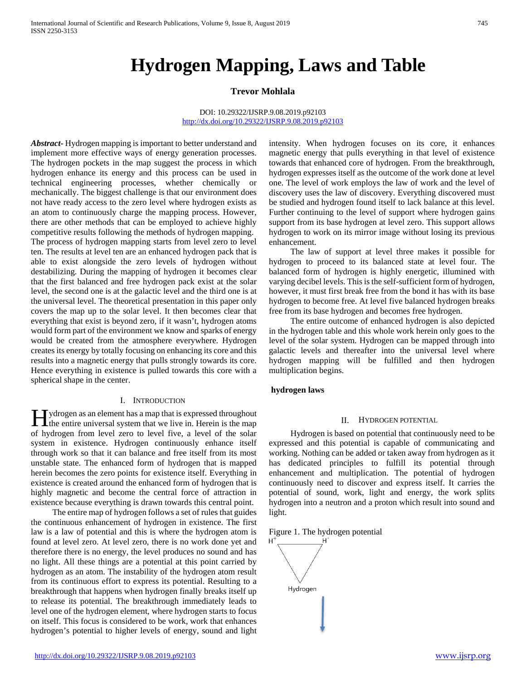# **Hydrogen Mapping, Laws and Table**

## **Trevor Mohlala**

#### DOI: 10.29322/IJSRP.9.08.2019.p92103 <http://dx.doi.org/10.29322/IJSRP.9.08.2019.p92103>

*Abstract***-** Hydrogen mapping is important to better understand and implement more effective ways of energy generation processes. The hydrogen pockets in the map suggest the process in which hydrogen enhance its energy and this process can be used in technical engineering processes, whether chemically or mechanically. The biggest challenge is that our environment does not have ready access to the zero level where hydrogen exists as an atom to continuously charge the mapping process. However, there are other methods that can be employed to achieve highly competitive results following the methods of hydrogen mapping. The process of hydrogen mapping starts from level zero to level ten. The results at level ten are an enhanced hydrogen pack that is able to exist alongside the zero levels of hydrogen without destabilizing. During the mapping of hydrogen it becomes clear that the first balanced and free hydrogen pack exist at the solar level, the second one is at the galactic level and the third one is at the universal level. The theoretical presentation in this paper only covers the map up to the solar level. It then becomes clear that everything that exist is beyond zero, if it wasn't, hydrogen atoms would form part of the environment we know and sparks of energy would be created from the atmosphere everywhere. Hydrogen creates its energy by totally focusing on enhancing its core and this results into a magnetic energy that pulls strongly towards its core. Hence everything in existence is pulled towards this core with a spherical shape in the center.

#### I. INTRODUCTION

**H**ydrogen as an element has a map that is expressed throughout the entire universal system that we live in. Herein is the map **I** the entire universal system that we live in. Herein is the map of hydrogen from level zero to level five, a level of the solar system in existence. Hydrogen continuously enhance itself through work so that it can balance and free itself from its most unstable state. The enhanced form of hydrogen that is mapped herein becomes the zero points for existence itself. Everything in existence is created around the enhanced form of hydrogen that is highly magnetic and become the central force of attraction in existence because everything is drawn towards this central point.

 The entire map of hydrogen follows a set of rules that guides the continuous enhancement of hydrogen in existence. The first law is a law of potential and this is where the hydrogen atom is found at level zero. At level zero, there is no work done yet and therefore there is no energy, the level produces no sound and has no light. All these things are a potential at this point carried by hydrogen as an atom. The instability of the hydrogen atom result from its continuous effort to express its potential. Resulting to a breakthrough that happens when hydrogen finally breaks itself up to release its potential. The breakthrough immediately leads to level one of the hydrogen element, where hydrogen starts to focus on itself. This focus is considered to be work, work that enhances hydrogen's potential to higher levels of energy, sound and light intensity. When hydrogen focuses on its core, it enhances magnetic energy that pulls everything in that level of existence towards that enhanced core of hydrogen. From the breakthrough, hydrogen expresses itself as the outcome of the work done at level one. The level of work employs the law of work and the level of discovery uses the law of discovery. Everything discovered must be studied and hydrogen found itself to lack balance at this level. Further continuing to the level of support where hydrogen gains support from its base hydrogen at level zero. This support allows hydrogen to work on its mirror image without losing its previous enhancement.

 The law of support at level three makes it possible for hydrogen to proceed to its balanced state at level four. The balanced form of hydrogen is highly energetic, illumined with varying decibel levels. This is the self-sufficient form of hydrogen, however, it must first break free from the bond it has with its base hydrogen to become free. At level five balanced hydrogen breaks free from its base hydrogen and becomes free hydrogen.

 The entire outcome of enhanced hydrogen is also depicted in the hydrogen table and this whole work herein only goes to the level of the solar system. Hydrogen can be mapped through into galactic levels and thereafter into the universal level where hydrogen mapping will be fulfilled and then hydrogen multiplication begins.

#### **hydrogen laws**

#### II. HYDROGEN POTENTIAL

 Hydrogen is based on potential that continuously need to be expressed and this potential is capable of communicating and working. Nothing can be added or taken away from hydrogen as it has dedicated principles to fulfill its potential through enhancement and multiplication. The potential of hydrogen continuously need to discover and express itself. It carries the potential of sound, work, light and energy, the work splits hydrogen into a neutron and a proton which result into sound and light.

Figure 1. The hydrogen potential

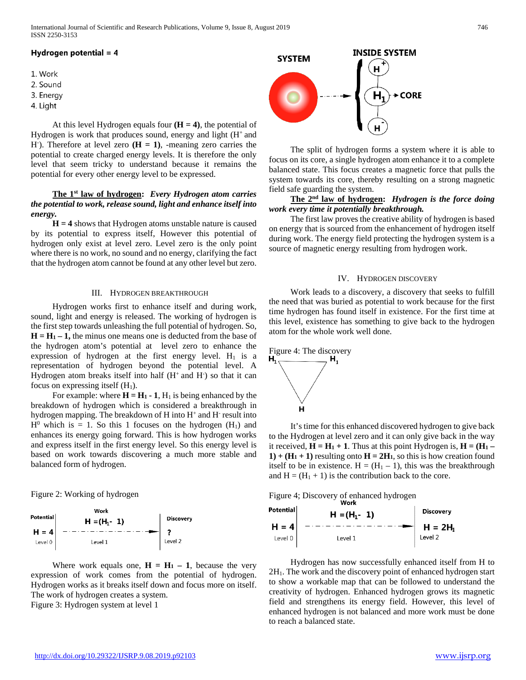## Hydrogen potential =  $4$

- 1. Work
- 2. Sound
- 3. Energy
- 4. Light

At this level Hydrogen equals four  $(H = 4)$ , the potential of Hydrogen is work that produces sound, energy and light (H+ and H<sup>-</sup>). Therefore at level zero  $(H = 1)$ , -meaning zero carries the potential to create charged energy levels. It is therefore the only level that seem tricky to understand because it remains the potential for every other energy level to be expressed.

# **The 1st law of hydrogen:** *Every Hydrogen atom carries the potential to work, release sound, light and enhance itself into energy.*

 **H = 4** shows that Hydrogen atoms unstable nature is caused by its potential to express itself, However this potential of hydrogen only exist at level zero. Level zero is the only point where there is no work, no sound and no energy, clarifying the fact that the hydrogen atom cannot be found at any other level but zero.

## III. HYDROGEN BREAKTHROUGH

 Hydrogen works first to enhance itself and during work, sound, light and energy is released. The working of hydrogen is the first step towards unleashing the full potential of hydrogen. So,  $H = H_1 - 1$ , the minus one means one is deducted from the base of the hydrogen atom's potential at level zero to enhance the expression of hydrogen at the first energy level.  $H_1$  is a representation of hydrogen beyond the potential level. A Hydrogen atom breaks itself into half (H<sup>+</sup> and H<sup>-</sup>) so that it can focus on expressing itself  $(H_1)$ .

For example: where  $H = H_1 - 1$ ,  $H_1$  is being enhanced by the breakdown of hydrogen which is considered a breakthrough in hydrogen mapping. The breakdown of  $H$  into  $H^+$  and  $H^-$  result into  $H^0$  which is = 1. So this 1 focuses on the hydrogen (H<sub>1</sub>) and enhances its energy going forward. This is how hydrogen works and express itself in the first energy level. So this energy level is based on work towards discovering a much more stable and balanced form of hydrogen.

Figure 2: Working of hydrogen



Where work equals one,  $H = H_1 - 1$ , because the very expression of work comes from the potential of hydrogen. Hydrogen works as it breaks itself down and focus more on itself. The work of hydrogen creates a system. Figure 3: Hydrogen system at level 1



 The split of hydrogen forms a system where it is able to focus on its core, a single hydrogen atom enhance it to a complete balanced state. This focus creates a magnetic force that pulls the system towards its core, thereby resulting on a strong magnetic field safe guarding the system.

# **The 2nd law of hydrogen:** *Hydrogen is the force doing work every time it potentially breakthrough.*

 The first law proves the creative ability of hydrogen is based on energy that is sourced from the enhancement of hydrogen itself during work. The energy field protecting the hydrogen system is a source of magnetic energy resulting from hydrogen work.

#### IV. HYDROGEN DISCOVERY

 Work leads to a discovery, a discovery that seeks to fulfill the need that was buried as potential to work because for the first time hydrogen has found itself in existence. For the first time at this level, existence has something to give back to the hydrogen atom for the whole work well done.



н

 It's time for this enhanced discovered hydrogen to give back to the Hydrogen at level zero and it can only give back in the way it received,  $H = H_1 + 1$ . Thus at this point Hydrogen is,  $H = (H_1 1) + (H_1 + 1)$  resulting onto  $H = 2H_1$ , so this is how creation found itself to be in existence.  $H = (H_1 - 1)$ , this was the breakthrough and  $H = (H_1 + 1)$  is the contribution back to the core.

Figure 4; Discovery of enhanced hydrogen<br>Work



 Hydrogen has now successfully enhanced itself from H to 2H1. The work and the discovery point of enhanced hydrogen start to show a workable map that can be followed to understand the creativity of hydrogen. Enhanced hydrogen grows its magnetic field and strengthens its energy field. However, this level of enhanced hydrogen is not balanced and more work must be done to reach a balanced state.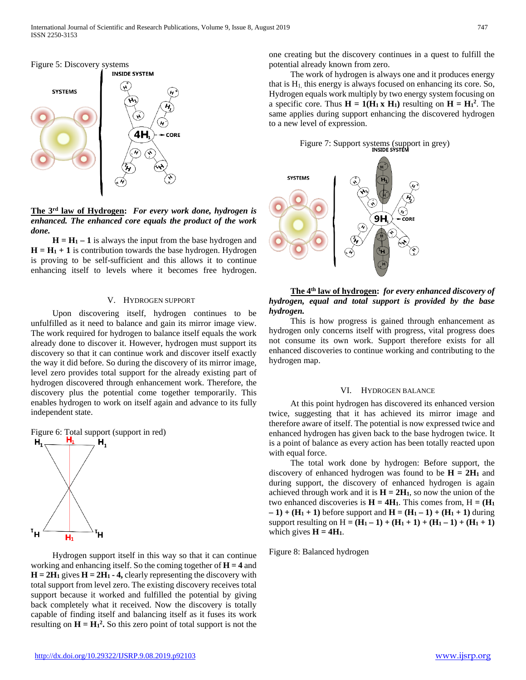

**The 3rd law of Hydrogen:** *For every work done, hydrogen is enhanced. The enhanced core equals the product of the work done.* 

 $H = H_1 - 1$  is always the input from the base hydrogen and  $H = H<sub>1</sub> + 1$  is contribution towards the base hydrogen. Hydrogen is proving to be self-sufficient and this allows it to continue enhancing itself to levels where it becomes free hydrogen.

#### V. HYDROGEN SUPPORT

 Upon discovering itself, hydrogen continues to be unfulfilled as it need to balance and gain its mirror image view. The work required for hydrogen to balance itself equals the work already done to discover it. However, hydrogen must support its discovery so that it can continue work and discover itself exactly the way it did before. So during the discovery of its mirror image, level zero provides total support for the already existing part of hydrogen discovered through enhancement work. Therefore, the discovery plus the potential come together temporarily. This enables hydrogen to work on itself again and advance to its fully independent state.



 Hydrogen support itself in this way so that it can continue working and enhancing itself. So the coming together of  $H = 4$  and  $H = 2H_1$  gives  $H = 2H_1 - 4$ , clearly representing the discovery with total support from level zero. The existing discovery receives total support because it worked and fulfilled the potential by giving back completely what it received. Now the discovery is totally capable of finding itself and balancing itself as it fuses its work resulting on  $H = H_1^2$ . So this zero point of total support is not the one creating but the discovery continues in a quest to fulfill the potential already known from zero.

 The work of hydrogen is always one and it produces energy that is  $H<sub>1</sub>$ , this energy is always focused on enhancing its core. So, Hydrogen equals work multiply by two energy system focusing on a specific core. Thus  $H = 1(H_1 \times H_1)$  resulting on  $H = H_1^2$ . The same applies during support enhancing the discovered hydrogen to a new level of expression.

Figure 7: Support systems (support in grey)<br> **INSIDE SYSTEM** 



 **The 4th law of hydrogen:** *for every enhanced discovery of hydrogen, equal and total support is provided by the base hydrogen.*

 This is how progress is gained through enhancement as hydrogen only concerns itself with progress, vital progress does not consume its own work. Support therefore exists for all enhanced discoveries to continue working and contributing to the hydrogen map.

## VI. HYDROGEN BALANCE

 At this point hydrogen has discovered its enhanced version twice, suggesting that it has achieved its mirror image and therefore aware of itself. The potential is now expressed twice and enhanced hydrogen has given back to the base hydrogen twice. It is a point of balance as every action has been totally reacted upon with equal force.

 The total work done by hydrogen: Before support, the discovery of enhanced hydrogen was found to be  $H = 2H_1$  and during support, the discovery of enhanced hydrogen is again achieved through work and it is  $H = 2H_1$ , so now the union of the two enhanced discoveries is  $H = 4H_1$ . This comes from,  $H = (H_1)$ **– 1) + (H1 + 1)** before support and **H = (H1 – 1) + (H1 + 1)** during support resulting on  $H = (H_1 - 1) + (H_1 + 1) + (H_1 - 1) + (H_1 + 1)$ which gives  $H = 4H_1$ .

Figure 8: Balanced hydrogen